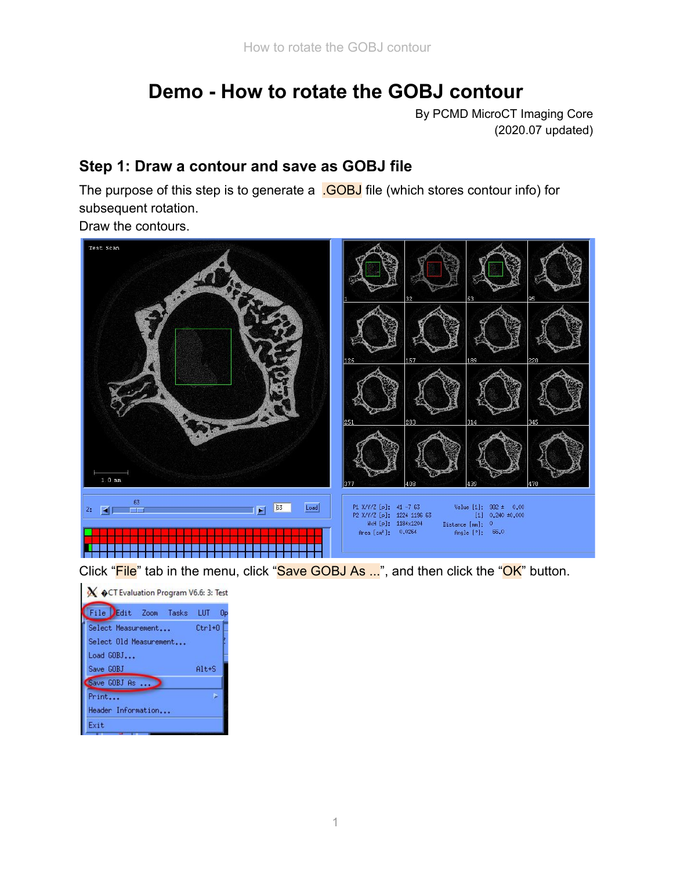# **Demo - How to rotate the GOBJ contour**

By PCMD MicroCT Imaging Core (2020.07 updated)

### **Step 1: Draw a contour and save as GOBJ file**

The purpose of this step is to generate a .GOBJ file (which stores contour info) for subsequent rotation.

Draw the contours.



Click "File" tab in the menu, click "Save GOBJ As ...", and then click the "OK" button.

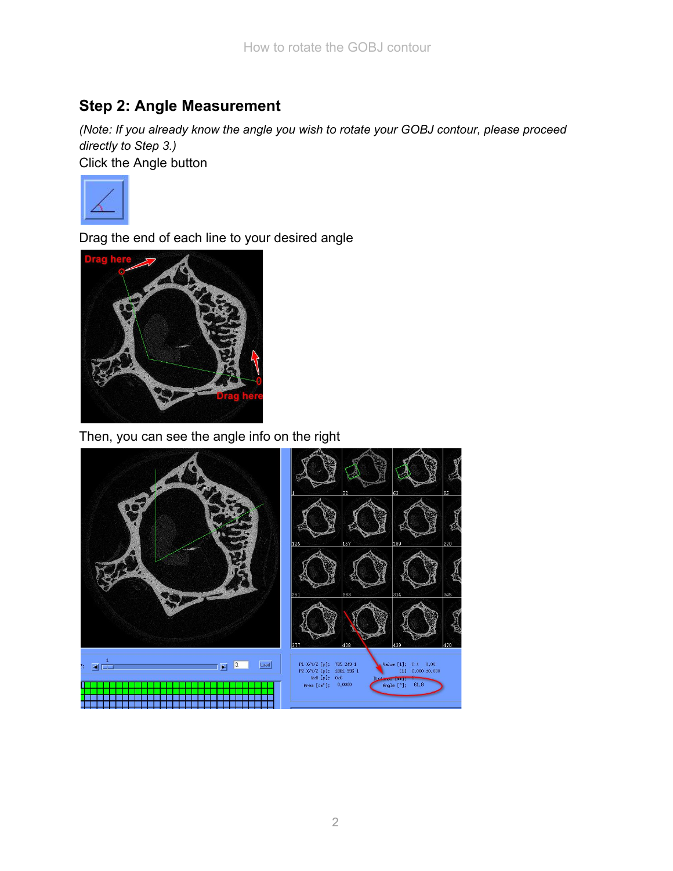### **Step 2: Angle Measurement**

*(Note: If you already know the angle you wish to rotate your GOBJ contour, please proceed directly to Step 3.)*

Click the Angle button



Drag the end of each line to your desired angle



Then, you can see the angle info on the right

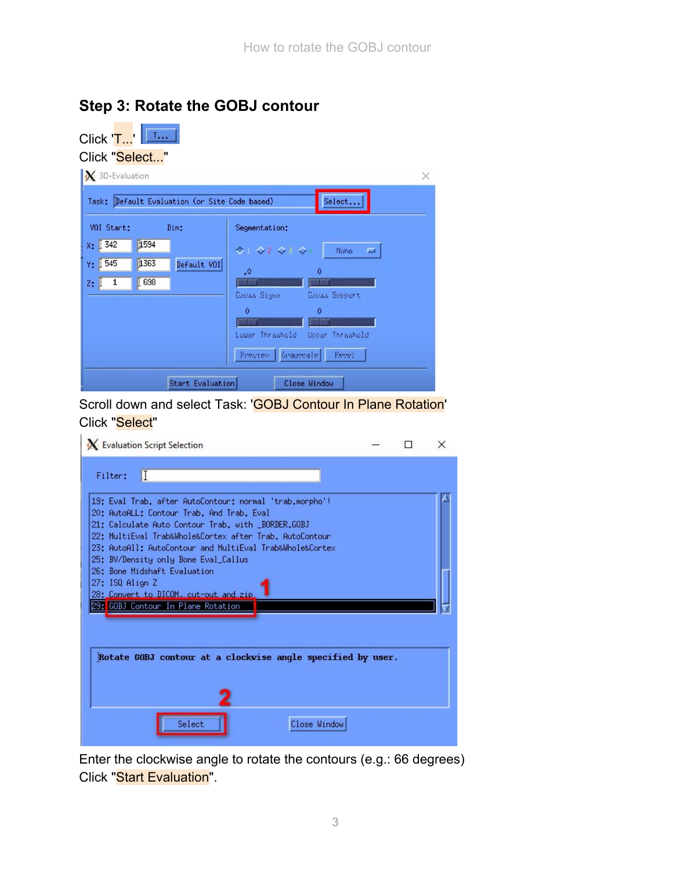| Click 'T'   <u>Limbur</u>                        |                                               |                                           |
|--------------------------------------------------|-----------------------------------------------|-------------------------------------------|
| Click "Select"                                   |                                               |                                           |
| $\mathbf{X}$ 3D-Evaluation                       |                                               | X                                         |
|                                                  | Task: Default Evaluation (or Site Code based) | Select                                    |
| VOI Start:                                       | Dim:                                          | Segmentation:                             |
| X: 342<br>1594                                   |                                               | ◆1 ◆2 ◆3 ◆1<br>Nore<br>$\qquad \qquad =$  |
| 1363<br>Y: 1545                                  | Default VOI                                   | $\cdot$ <sup>0</sup><br>$\Omega$          |
| 698<br>$Z: \begin{bmatrix} 1 \\ 1 \end{bmatrix}$ |                                               | <u> William William Street (1986)</u>     |
|                                                  |                                               | Couss Signs - Couss Support               |
|                                                  |                                               | $\mathbf 0$<br>$\mathbf 0$<br><u>mana</u> |
|                                                  |                                               | Lower Threshold (Meer Threshold           |
|                                                  |                                               | Preview Gragorale Peret                   |
|                                                  | <b>Start Evaluation</b>                       | Close Window                              |

## **Step 3: Rotate the GOBJ contour**

m.

**Contract Contract** 

Scroll down and select Task: 'GOBJ Contour In Plane Rotation' Click "Select"

| X Evaluation Script Selection                                                                                                                                                                                                                                                                                                                             |  | × |
|-----------------------------------------------------------------------------------------------------------------------------------------------------------------------------------------------------------------------------------------------------------------------------------------------------------------------------------------------------------|--|---|
| I<br>Filter:                                                                                                                                                                                                                                                                                                                                              |  |   |
| 19: Eval Trab, after AutoContour: normal 'trab,morpho'!<br>20: AutoALL: Contour Trab. And Trab. Eval<br>21: Calculate Auto Contour Trab. with _BORDER.GOBJ<br>22: MultiEval Trab&Whole&Cortex after Trab. AutoContour<br>23: AutoAll: AutoContour and MultiEval Trab&Whole&Cortex<br>25: BV/Density only Bone Eval_Callus<br>26: Bone Midshaft Evaluation |  |   |
| 27: ISQ Align Z<br>28: Convert to DICOM, cut-out and zip<br>29: GOBJ Contour In Plane Rotation                                                                                                                                                                                                                                                            |  |   |
| Rotate GOBJ contour at a clockwise angle specified by user.                                                                                                                                                                                                                                                                                               |  |   |
|                                                                                                                                                                                                                                                                                                                                                           |  |   |
| Select<br>Close Window                                                                                                                                                                                                                                                                                                                                    |  |   |

Enter the clockwise angle to rotate the contours (e.g.: 66 degrees) Click "Start Evaluation".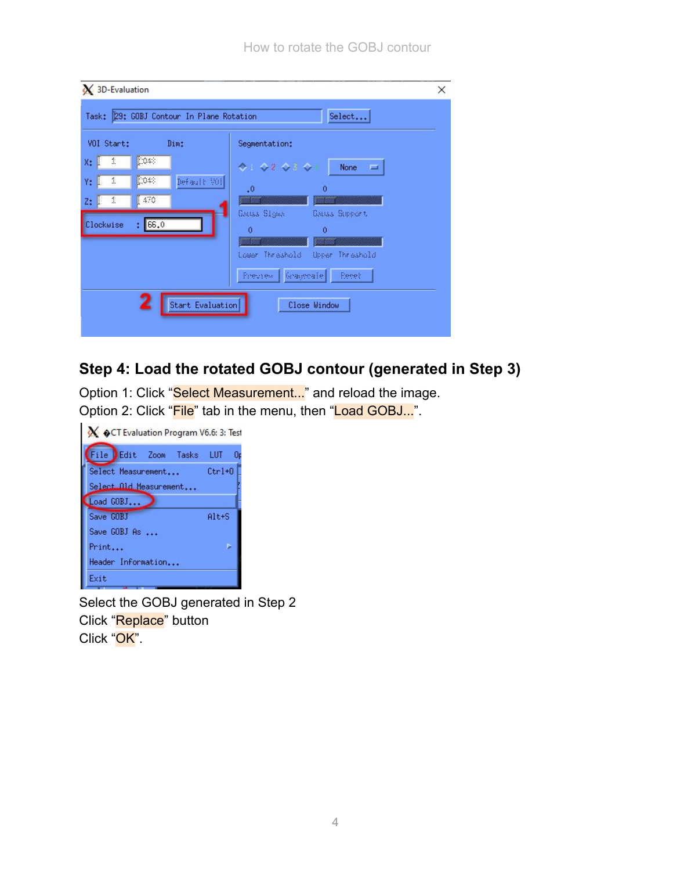| VOI Start:                                         | Dim:                                                         | Segmentation:                                                                                                                                                                                        |
|----------------------------------------------------|--------------------------------------------------------------|------------------------------------------------------------------------------------------------------------------------------------------------------------------------------------------------------|
| 1<br>Ŀ<br>1<br>1<br>$z:$ $\mathbb{I}$<br>Clockwise | [0048]<br>[0.48]<br>Default 901<br>$\sqrt{470}$<br>66.0<br>ŧ | 4:42434<br>None<br><b>EXT</b><br>$\alpha$<br>$\cdot$ 0<br><u> William St</u><br>GAILS Signs<br>Gauss Support<br>$\ddot{\text{o}}$<br>$\theta$<br>,,,,,,,,,,,,,<br>Lower Threshold<br>Upper Threshold |
|                                                    | Start Evaluation                                             | Freview Graycosle<br>Eggeb<br>Close Window                                                                                                                                                           |

### **Step 4: Load the rotated GOBJ contour (generated in Step 3)**

Option 1: Click "Select Measurement..." and reload the image. Option 2: Click "File" tab in the menu, then "Load GOBJ...".

| OCT Evaluation Program V6.6: 3: Test |
|--------------------------------------|
| File Edit Zoom Tasks LUT<br>Ūp       |
| $[$ trl+0 $]$                        |
|                                      |
|                                      |
| Alt+S                                |
|                                      |
|                                      |
|                                      |
|                                      |
|                                      |

Select the GOBJ generated in Step 2 Click "Replace" button Click "OK".